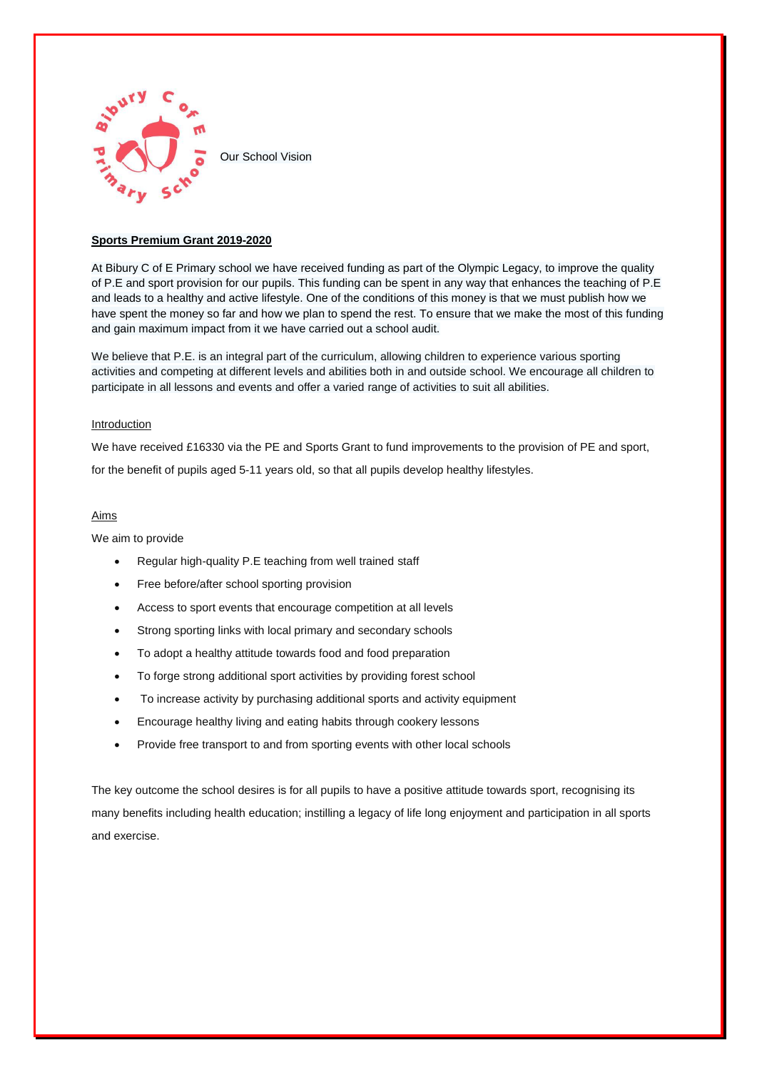

### **Sports Premium Grant 2019-2020**

At Bibury C of E Primary school we have received funding as part of the Olympic Legacy, to improve the quality of P.E and sport provision for our pupils. This funding can be spent in any way that enhances the teaching of P.E and leads to a healthy and active lifestyle. One of the conditions of this money is that we must publish how we have spent the money so far and how we plan to spend the rest. To ensure that we make the most of this funding and gain maximum impact from it we have carried out a school audit.

We believe that P.E. is an integral part of the curriculum, allowing children to experience various sporting activities and competing at different levels and abilities both in and outside school. We encourage all children to participate in all lessons and events and offer a varied range of activities to suit all abilities.

### Introduction

We have received £16330 via the PE and Sports Grant to fund improvements to the provision of PE and sport, for the benefit of pupils aged 5-11 years old, so that all pupils develop healthy lifestyles.

#### Aims

We aim to provide

- Regular high-quality P.E teaching from well trained staff
- Free before/after school sporting provision
- Access to sport events that encourage competition at all levels
- Strong sporting links with local primary and secondary schools
- To adopt a healthy attitude towards food and food preparation
- To forge strong additional sport activities by providing forest school
- To increase activity by purchasing additional sports and activity equipment
- Encourage healthy living and eating habits through cookery lessons
- Provide free transport to and from sporting events with other local schools

The key outcome the school desires is for all pupils to have a positive attitude towards sport, recognising its many benefits including health education; instilling a legacy of life long enjoyment and participation in all sports and exercise.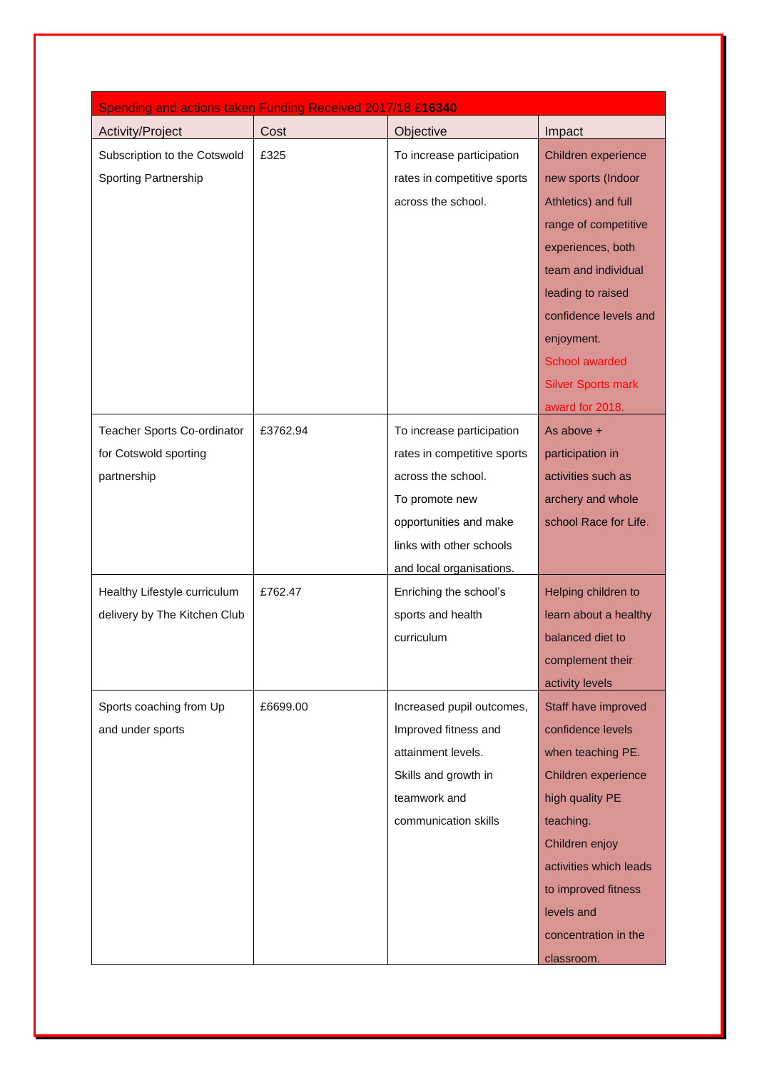| Spending and actions taken Funding Received 2017/18 £16340 |          |                             |                           |
|------------------------------------------------------------|----------|-----------------------------|---------------------------|
| Activity/Project                                           | Cost     | Objective                   | Impact                    |
| Subscription to the Cotswold                               | £325     | To increase participation   | Children experience       |
| <b>Sporting Partnership</b>                                |          | rates in competitive sports | new sports (Indoor        |
|                                                            |          | across the school.          | Athletics) and full       |
|                                                            |          |                             | range of competitive      |
|                                                            |          |                             | experiences, both         |
|                                                            |          |                             | team and individual       |
|                                                            |          |                             | leading to raised         |
|                                                            |          |                             | confidence levels and     |
|                                                            |          |                             | enjoyment.                |
|                                                            |          |                             | School awarded            |
|                                                            |          |                             | <b>Silver Sports mark</b> |
|                                                            |          |                             | award for 2018.           |
| Teacher Sports Co-ordinator                                | £3762.94 | To increase participation   | As above +                |
| for Cotswold sporting                                      |          | rates in competitive sports | participation in          |
| partnership                                                |          | across the school.          | activities such as        |
|                                                            |          | To promote new              | archery and whole         |
|                                                            |          | opportunities and make      | school Race for Life.     |
|                                                            |          | links with other schools    |                           |
|                                                            |          | and local organisations.    |                           |
| Healthy Lifestyle curriculum                               | £762.47  | Enriching the school's      | Helping children to       |
| delivery by The Kitchen Club                               |          | sports and health           | learn about a healthy     |
|                                                            |          | curriculum                  | balanced diet to          |
|                                                            |          |                             | complement their          |
|                                                            |          |                             | activity levels           |
| Sports coaching from Up                                    | £6699.00 | Increased pupil outcomes,   | Staff have improved       |
| and under sports                                           |          | Improved fitness and        | confidence levels         |
|                                                            |          | attainment levels.          | when teaching PE.         |
|                                                            |          | Skills and growth in        | Children experience       |
|                                                            |          | teamwork and                | high quality PE           |
|                                                            |          | communication skills        | teaching.                 |
|                                                            |          |                             | Children enjoy            |
|                                                            |          |                             | activities which leads    |
|                                                            |          |                             | to improved fitness       |
|                                                            |          |                             | levels and                |
|                                                            |          |                             | concentration in the      |
|                                                            |          |                             | classroom.                |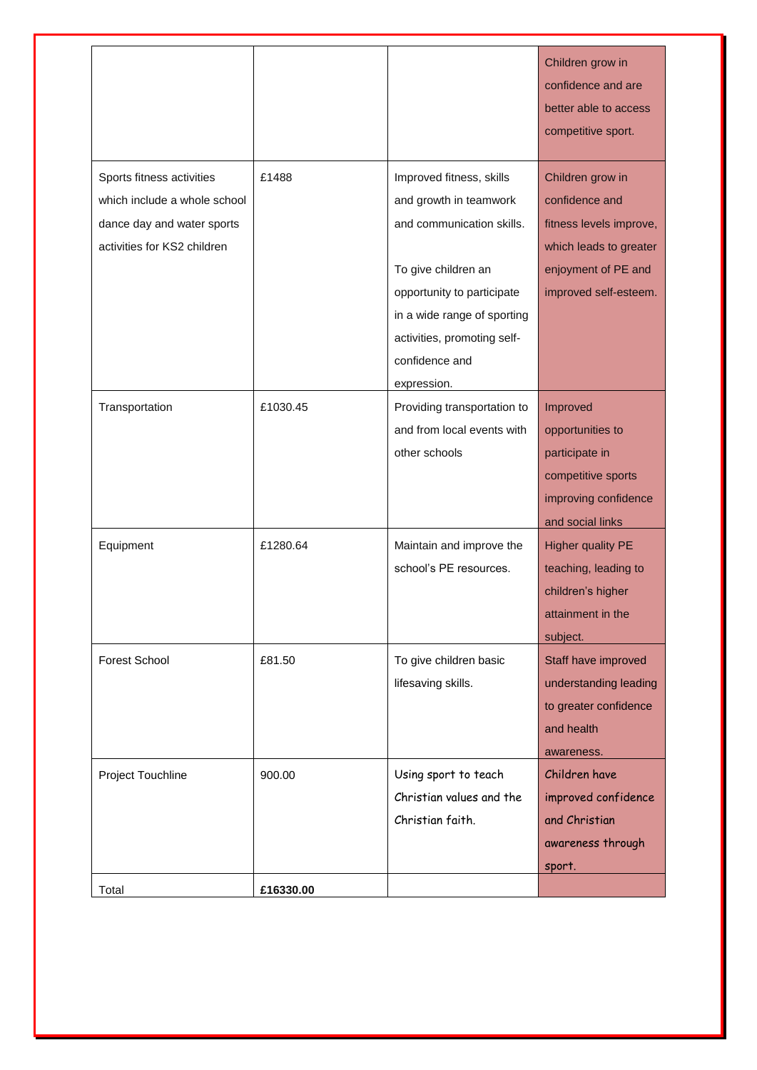|                              |           |                             | Children grow in<br>confidence and are<br>better able to access<br>competitive sport. |
|------------------------------|-----------|-----------------------------|---------------------------------------------------------------------------------------|
| Sports fitness activities    | £1488     | Improved fitness, skills    | Children grow in                                                                      |
| which include a whole school |           | and growth in teamwork      | confidence and                                                                        |
| dance day and water sports   |           | and communication skills.   | fitness levels improve,                                                               |
| activities for KS2 children  |           |                             | which leads to greater                                                                |
|                              |           | To give children an         | enjoyment of PE and                                                                   |
|                              |           | opportunity to participate  | improved self-esteem.                                                                 |
|                              |           | in a wide range of sporting |                                                                                       |
|                              |           | activities, promoting self- |                                                                                       |
|                              |           | confidence and              |                                                                                       |
|                              |           | expression.                 |                                                                                       |
| Transportation               | £1030.45  | Providing transportation to | Improved                                                                              |
|                              |           | and from local events with  | opportunities to                                                                      |
|                              |           | other schools               | participate in                                                                        |
|                              |           |                             | competitive sports                                                                    |
|                              |           |                             | improving confidence                                                                  |
|                              |           |                             | and social links                                                                      |
| Equipment                    | £1280.64  | Maintain and improve the    | <b>Higher quality PE</b>                                                              |
|                              |           | school's PE resources.      | teaching, leading to                                                                  |
|                              |           |                             | children's higher                                                                     |
|                              |           |                             | attainment in the                                                                     |
|                              |           |                             | subject.                                                                              |
| <b>Forest School</b>         | £81.50    | To give children basic      | Staff have improved                                                                   |
|                              |           | lifesaving skills.          | understanding leading                                                                 |
|                              |           |                             | to greater confidence                                                                 |
|                              |           |                             | and health                                                                            |
|                              |           |                             | awareness.                                                                            |
| Project Touchline            | 900.00    | Using sport to teach        | Children have                                                                         |
|                              |           | Christian values and the    | improved confidence                                                                   |
|                              |           | Christian faith.            | and Christian                                                                         |
|                              |           |                             | awareness through                                                                     |
|                              |           |                             | sport.                                                                                |
| Total                        | £16330.00 |                             |                                                                                       |